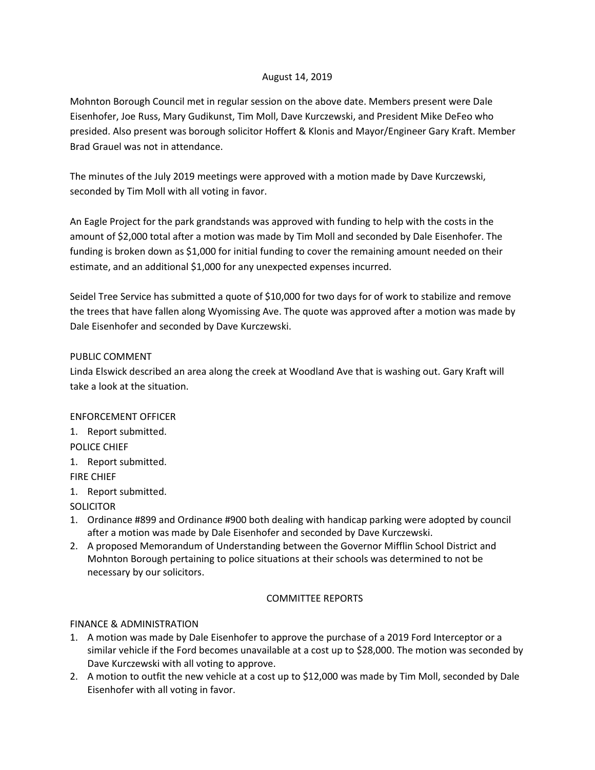## August 14, 2019

Mohnton Borough Council met in regular session on the above date. Members present were Dale Eisenhofer, Joe Russ, Mary Gudikunst, Tim Moll, Dave Kurczewski, and President Mike DeFeo who presided. Also present was borough solicitor Hoffert & Klonis and Mayor/Engineer Gary Kraft. Member Brad Grauel was not in attendance.

The minutes of the July 2019 meetings were approved with a motion made by Dave Kurczewski, seconded by Tim Moll with all voting in favor.

An Eagle Project for the park grandstands was approved with funding to help with the costs in the amount of \$2,000 total after a motion was made by Tim Moll and seconded by Dale Eisenhofer. The funding is broken down as \$1,000 for initial funding to cover the remaining amount needed on their estimate, and an additional \$1,000 for any unexpected expenses incurred.

Seidel Tree Service has submitted a quote of \$10,000 for two days for of work to stabilize and remove the trees that have fallen along Wyomissing Ave. The quote was approved after a motion was made by Dale Eisenhofer and seconded by Dave Kurczewski.

#### PUBLIC COMMENT

Linda Elswick described an area along the creek at Woodland Ave that is washing out. Gary Kraft will take a look at the situation.

# ENFORCEMENT OFFICER

1. Report submitted.

- POLICE CHIEF
- 1. Report submitted.

FIRE CHIEF

1. Report submitted.

**SOLICITOR** 

- 1. Ordinance #899 and Ordinance #900 both dealing with handicap parking were adopted by council after a motion was made by Dale Eisenhofer and seconded by Dave Kurczewski.
- 2. A proposed Memorandum of Understanding between the Governor Mifflin School District and Mohnton Borough pertaining to police situations at their schools was determined to not be necessary by our solicitors.

# COMMITTEE REPORTS

FINANCE & ADMINISTRATION

- 1. A motion was made by Dale Eisenhofer to approve the purchase of a 2019 Ford Interceptor or a similar vehicle if the Ford becomes unavailable at a cost up to \$28,000. The motion was seconded by Dave Kurczewski with all voting to approve.
- 2. A motion to outfit the new vehicle at a cost up to \$12,000 was made by Tim Moll, seconded by Dale Eisenhofer with all voting in favor.